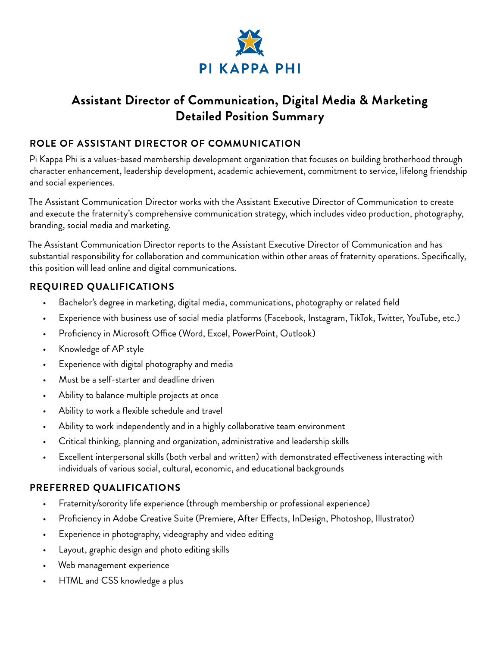

# **Assistant Director of Communication, Digital Media & Marketing Detailed Position Summary**

#### **ROLE OF ASSISTANT DIRECTOR OF COMMUNICATION**

Pi Kappa Phi is a values-based membership development organization that focuses on building brotherhood through character enhancement, leadership development, academic achievement, commitment to service, lifelong friendship and social experiences.

The Assistant Communication Director works with the Assistant Executive Director of Communication to create and execute the fraternity's comprehensive communication strategy, which includes video production, photography, branding, social media and marketing.

The Assistant Communication Director reports to the Assistant Executive Director of Communication and has substantial responsibility for collaboration and communication within other areas of fraternity operations. Specifically, this position will lead online and digital communications.

## **REQUIRED QUALIFICATIONS**

- Bachelor's degree in marketing, digital media, communications, photography or related field
- Experience with business use of social media platforms (Facebook, Instagram, TikTok, Twitter, YouTube, etc.)
- Proficiency in Microsoft Office (Word, Excel, PowerPoint, Outlook)
- Knowledge of AP style
- Experience with digital photography and media
- Must be a self-starter and deadline driven
- Ability to balance multiple projects at once
- Ability to work a flexible schedule and travel
- Ability to work independently and in a highly collaborative team environment
- Critical thinking, planning and organization, administrative and leadership skills
- Excellent interpersonal skills (both verbal and written) with demonstrated effectiveness interacting with individuals of various social, cultural, economic, and educational backgrounds

## **PREFERRED QUALIFICATIONS**

- Fraternity/sorority life experience (through membership or professional experience)
- Proficiency in Adobe Creative Suite (Premiere, After Effects, InDesign, Photoshop, Illustrator)
- Experience in photography, videography and video editing
- Layout, graphic design and photo editing skills
- Web management experience
- HTML and CSS knowledge a plus